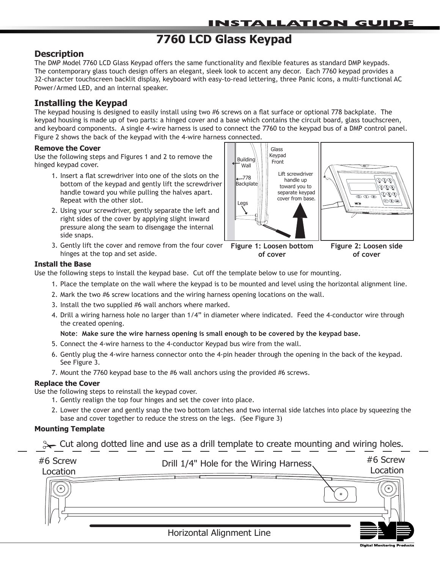# **7760 LCD Glass Keypad**

# **Description**

The DMP Model 7760 LCD Glass Keypad offers the same functionality and flexible features as standard DMP keypads. The contemporary glass touch design offers an elegant, sleek look to accent any decor. Each 7760 keypad provides a 32‑character touchscreen backlit display, keyboard with easy-to-read lettering, three Panic icons, a multi-functional AC Power/Armed LED, and an internal speaker.

# **Installing the Keypad**

The keypad housing is designed to easily install using two #6 screws on a flat surface or optional 778 backplate. The keypad housing is made up of two parts: a hinged cover and a base which contains the circuit board, glass touchscreen, and keyboard components. A single 4-wire harness is used to connect the 7760 to the keypad bus of a DMP control panel. Figure 2 shows the back of the keypad with the 4-wire harness connected.

### **Remove the Cover**

Use the following steps and Figures 1 and 2 to remove the hinged keypad cover.

- 1. Insert a flat screwdriver into one of the slots on the bottom of the keypad and gently lift the screwdriver handle toward you while pulling the halves apart. Repeat with the other slot.
- 2. Using your screwdriver, gently separate the left and right sides of the cover by applying slight inward pressure along the seam to disengage the internal side snaps.
- 3. Gently lift the cover and remove from the four cover hinges at the top and set aside.



**of cover**

**Install the Base**

Use the following steps to install the keypad base. Cut off the template below to use for mounting.

1. Place the template on the wall where the keypad is to be mounted and level using the horizontal alignment line.

**of cover**

- 2. Mark the two #6 screw locations and the wiring harness opening locations on the wall.
- 3. Install the two supplied #6 wall anchors where marked.
- 4. Drill a wiring harness hole no larger than 1/4" in diameter where indicated. Feed the 4-conductor wire through the created opening.

### **Note**: **Make sure the wire harness opening is small enough to be covered by the keypad base.**

- 5. Connect the 4-wire harness to the 4-conductor Keypad bus wire from the wall.
- 6. Gently plug the 4-wire harness connector onto the 4-pin header through the opening in the back of the keypad. See Figure 3.
- 7. Mount the 7760 keypad base to the #6 wall anchors using the provided #6 screws.

### **Replace the Cover**

Use the following steps to reinstall the keypad cover.

- 1. Gently realign the top four hinges and set the cover into place.
- 2. Lower the cover and gently snap the two bottom latches and two internal side latches into place by squeezing the base and cover together to reduce the stress on the legs. (See Figure 3)

### **Mounting Template**

✁ Cut along dotted line and use as a drill template to create mounting and wiring holes.

| #6 Screw<br>Location | Drill 1/4" Hole for the Wiring Harness, | #6 Screw<br>Location |
|----------------------|-----------------------------------------|----------------------|
|                      | $\ast$                                  |                      |
| II                   |                                         |                      |
|                      | Horizontal Alignment Line               |                      |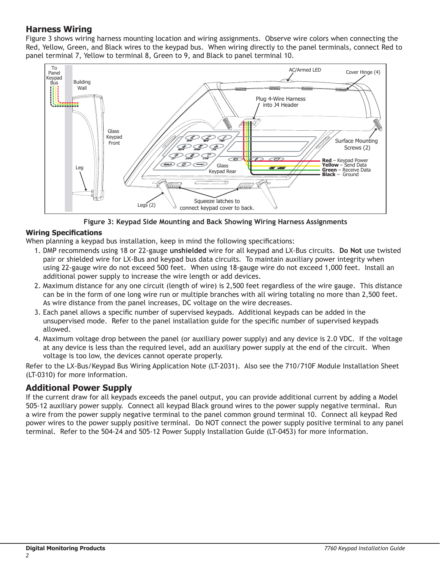# **Harness Wiring**

Figure 3 shows wiring harness mounting location and wiring assignments. Observe wire colors when connecting the Red, Yellow, Green, and Black wires to the keypad bus. When wiring directly to the panel terminals, connect Red to panel terminal 7, Yellow to terminal 8, Green to 9, and Black to panel terminal 10.



**Figure 3: Keypad Side Mounting and Back Showing Wiring Harness Assignments**

# **Wiring Specifications**

When planning a keypad bus installation, keep in mind the following specifications:

- 1. DMP recommends using 18 or 22-gauge **unshielded** wire for all keypad and LX-Bus circuits. **Do Not** use twisted pair or shielded wire for LX-Bus and keypad bus data circuits. To maintain auxiliary power integrity when using 22-gauge wire do not exceed 500 feet. When using 18-gauge wire do not exceed 1,000 feet. Install an additional power supply to increase the wire length or add devices.
- 2. Maximum distance for any one circuit (length of wire) is 2,500 feet regardless of the wire gauge. This distance can be in the form of one long wire run or multiple branches with all wiring totaling no more than 2,500 feet. As wire distance from the panel increases, DC voltage on the wire decreases.
- 3. Each panel allows a specific number of supervised keypads. Additional keypads can be added in the unsupervised mode. Refer to the panel installation guide for the specific number of supervised keypads allowed.
- 4. Maximum voltage drop between the panel (or auxiliary power supply) and any device is 2.0 VDC. If the voltage at any device is less than the required level, add an auxiliary power supply at the end of the circuit. When voltage is too low, the devices cannot operate properly.

Refer to the LX-Bus/Keypad Bus Wiring Application Note (LT-2031). Also see the 710/710F Module Installation Sheet (LT-0310) for more information.

# **Additional Power Supply**

If the current draw for all keypads exceeds the panel output, you can provide additional current by adding a Model 505-12 auxiliary power supply. Connect all keypad Black ground wires to the power supply negative terminal. Run a wire from the power supply negative terminal to the panel common ground terminal 10. Connect all keypad Red power wires to the power supply positive terminal. Do NOT connect the power supply positive terminal to any panel terminal. Refer to the 504-24 and 505-12 Power Supply Installation Guide (LT-0453) for more information.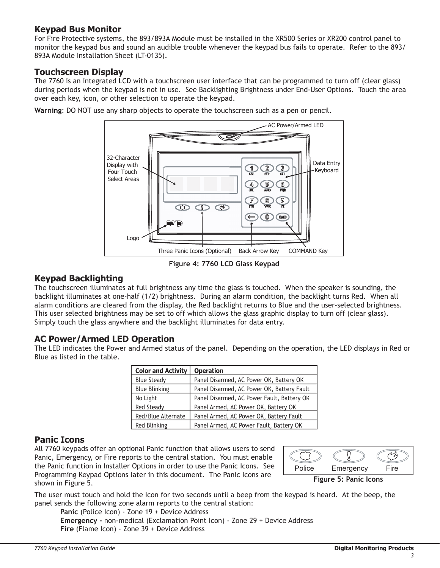# **Keypad Bus Monitor**

For Fire Protective systems, the 893/893A Module must be installed in the XR500 Series or XR200 control panel to monitor the keypad bus and sound an audible trouble whenever the keypad bus fails to operate. Refer to the 893/ 893A Module Installation Sheet (LT-0135).

# **Touchscreen Display**

The 7760 is an integrated LCD with a touchscreen user interface that can be programmed to turn off (clear glass) during periods when the keypad is not in use. See Backlighting Brightness under End-User Options. Touch the area over each key, icon, or other selection to operate the keypad.





**Figure 4: 7760 LCD Glass Keypad**

# **Keypad Backlighting**

The touchscreen illuminates at full brightness any time the glass is touched. When the speaker is sounding, the backlight illuminates at one-half (1/2) brightness. During an alarm condition, the backlight turns Red. When all alarm conditions are cleared from the display, the Red backlight returns to Blue and the user‑selected brightness. This user selected brightness may be set to off which allows the glass graphic display to turn off (clear glass). Simply touch the glass anywhere and the backlight illuminates for data entry.

# **AC Power/Armed LED Operation**

The LED indicates the Power and Armed status of the panel. Depending on the operation, the LED displays in Red or Blue as listed in the table.

| <b>Color and Activity</b> | <b>Operation</b>                           |
|---------------------------|--------------------------------------------|
| <b>Blue Steady</b>        | Panel Disarmed, AC Power OK, Battery OK    |
| <b>Blue Blinking</b>      | Panel Disarmed, AC Power OK, Battery Fault |
| No Light                  | Panel Disarmed, AC Power Fault, Battery OK |
| <b>Red Steady</b>         | Panel Armed, AC Power OK, Battery OK       |
| Red/Blue Alternate        | Panel Armed, AC Power OK, Battery Fault    |
| Red Blinking              | Panel Armed, AC Power Fault, Battery OK    |

# **Panic Icons**

All 7760 keypads offer an optional Panic function that allows users to send Panic, Emergency, or Fire reports to the central station. You must enable the Panic function in Installer Options in order to use the Panic Icons. See Programming Keypad Options later in this document. The Panic Icons are shown in Figure 5.



The user must touch and hold the Icon for two seconds until a beep from the keypad is heard. At the beep, the panel sends the following zone alarm reports to the central station:

**Panic** (Police Icon) - Zone 19 + Device Address **Emergency -** non-medical (Exclamation Point Icon) - Zone 29 + Device Address **Fire** (Flame Icon) - Zone 39 + Device Address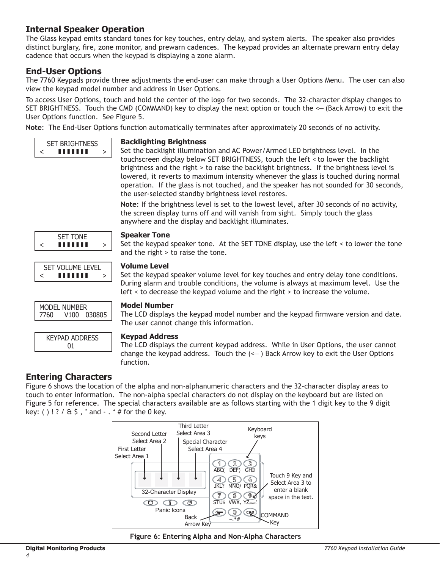# **Internal Speaker Operation**

The Glass keypad emits standard tones for key touches, entry delay, and system alerts. The speaker also provides distinct burglary, fire, zone monitor, and prewarn cadences. The keypad provides an alternate prewarn entry delay cadence that occurs when the keypad is displaying a zone alarm.

# **End-User Options**

The 7760 Keypads provide three adjustments the end-user can make through a User Options Menu. The user can also view the keypad model number and address in User Options.

To access User Options, touch and hold the center of the logo for two seconds. The 32-character display changes to SET BRIGHTNESS. Touch the CMD (COMMAND) key to display the next option or touch the <— (Back Arrow) to exit the User Options function. See Figure 5.

**Note**: The End-User Options function automatically terminates after approximately 20 seconds of no activity.



# **Entering Characters**

function.

Figure 6 shows the location of the alpha and non-alphanumeric characters and the 32-character display areas to touch to enter information. The non-alpha special characters do not display on the keyboard but are listed on Figure 5 for reference. The special characters available are as follows starting with the 1 digit key to the 9 digit key: ( ) ! ? /  $\&$  \$, ' and  $-$  . \* # for the 0 key.



**Figure 6: Entering Alpha and Non-Alpha Characters**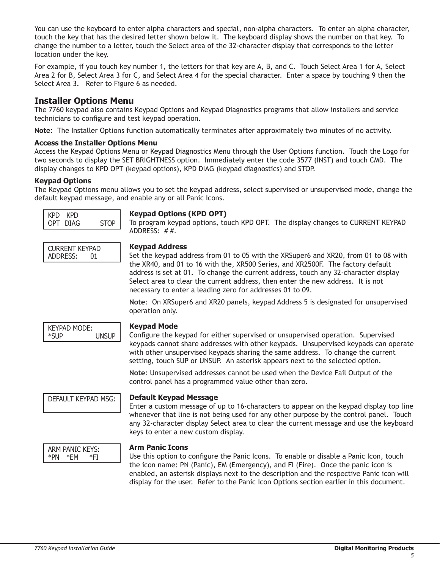You can use the keyboard to enter alpha characters and special, non-alpha characters. To enter an alpha character, touch the key that has the desired letter shown below it. The keyboard display shows the number on that key. To change the number to a letter, touch the Select area of the 32-character display that corresponds to the letter location under the key.

For example, if you touch key number 1, the letters for that key are A, B, and C. Touch Select Area 1 for A, Select Area 2 for B, Select Area 3 for C, and Select Area 4 for the special character. Enter a space by touching 9 then the Select Area 3. Refer to Figure 6 as needed.

# **Installer Options Menu**

The 7760 keypad also contains Keypad Options and Keypad Diagnostics programs that allow installers and service technicians to configure and test keypad operation.

**Note**: The Installer Options function automatically terminates after approximately two minutes of no activity.

### **Access the Installer Options Menu**

Access the Keypad Options Menu or Keypad Diagnostics Menu through the User Options function. Touch the Logo for two seconds to display the SET BRIGHTNESS option. Immediately enter the code 3577 (INST) and touch CMD. The display changes to KPD OPT (keypad options), KPD DIAG (keypad diagnostics) and STOP.

### **Keypad Options**

The Keypad Options menu allows you to set the keypad address, select supervised or unsupervised mode, change the default keypad message, and enable any or all Panic Icons.

| KPD KPD  |             |
|----------|-------------|
| OPT DIAG | <b>STOP</b> |

# **Keypad Options (KPD OPT)**

To program keypad options, touch KPD OPT. The display changes to CURRENT KEYPAD ADDRESS: # #.

| CURRENT KEYPAD |    |
|----------------|----|
| ADDRESS:       | 01 |

### **Keypad Address**

Set the keypad address from 01 to 05 with the XRSuper6 and XR20, from 01 to 08 with the XR40, and 01 to 16 with the, XR500 Series, and XR2500F. The factory default address is set at 01. To change the current address, touch any 32-character display Select area to clear the current address, then enter the new address. It is not necessary to enter a leading zero for addresses 01 to 09.

**Note**: On XRSuper6 and XR20 panels, keypad Address 5 is designated for unsupervised operation only.

KEYPAD MODE: \*SUP UNSUP

#### **Keypad Mode**

Configure the keypad for either supervised or unsupervised operation. Supervised keypads cannot share addresses with other keypads. Unsupervised keypads can operate with other unsupervised keypads sharing the same address. To change the current setting, touch SUP or UNSUP. An asterisk appears next to the selected option.

**Note**: Unsupervised addresses cannot be used when the Device Fail Output of the control panel has a programmed value other than zero.

### DEFAULT KEYPAD MSG: **Default Keypad Message**

Enter a custom message of up to 16-characters to appear on the keypad display top line whenever that line is not being used for any other purpose by the control panel. Touch any 32-character display Select area to clear the current message and use the keyboard keys to enter a new custom display.



#### **Arm Panic Icons**

Use this option to configure the Panic Icons. To enable or disable a Panic Icon, touch the icon name: PN (Panic), EM (Emergency), and FI (Fire). Once the panic icon is enabled, an asterisk displays next to the description and the respective Panic icon will display for the user. Refer to the Panic Icon Options section earlier in this document.